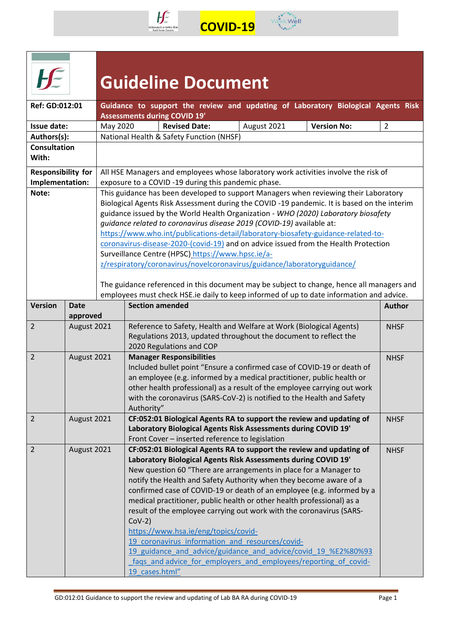

 $\sqrt{\frac{1}{2}}$ 



| <b>Guideline Document</b> |
|---------------------------|
|---------------------------|

| Ref: GD:012:01            |             |                        |                                                                                                                                                            |                                                                                                                                        |                                                                                          | Guidance to support the review and updating of Laboratory Biological Agents Risk          |                |  |  |  |  |
|---------------------------|-------------|------------------------|------------------------------------------------------------------------------------------------------------------------------------------------------------|----------------------------------------------------------------------------------------------------------------------------------------|------------------------------------------------------------------------------------------|-------------------------------------------------------------------------------------------|----------------|--|--|--|--|
| Issue date:               |             | May 2020               |                                                                                                                                                            | <b>Assessments during COVID 19'</b><br><b>Revised Date:</b>                                                                            | August 2021                                                                              | <b>Version No:</b>                                                                        | $\overline{2}$ |  |  |  |  |
| Authors(s):               |             |                        |                                                                                                                                                            | National Health & Safety Function (NHSF)                                                                                               |                                                                                          |                                                                                           |                |  |  |  |  |
| <b>Consultation</b>       |             |                        |                                                                                                                                                            |                                                                                                                                        |                                                                                          |                                                                                           |                |  |  |  |  |
| With:                     |             |                        |                                                                                                                                                            |                                                                                                                                        |                                                                                          |                                                                                           |                |  |  |  |  |
| <b>Responsibility for</b> |             |                        |                                                                                                                                                            |                                                                                                                                        |                                                                                          | All HSE Managers and employees whose laboratory work activities involve the risk of       |                |  |  |  |  |
| Implementation:           |             |                        |                                                                                                                                                            | exposure to a COVID-19 during this pandemic phase.                                                                                     |                                                                                          |                                                                                           |                |  |  |  |  |
| Note:                     |             |                        |                                                                                                                                                            |                                                                                                                                        |                                                                                          | This guidance has been developed to support Managers when reviewing their Laboratory      |                |  |  |  |  |
|                           |             |                        | Biological Agents Risk Assessment during the COVID -19 pandemic. It is based on the interim                                                                |                                                                                                                                        |                                                                                          |                                                                                           |                |  |  |  |  |
|                           |             |                        | guidance issued by the World Health Organization - WHO (2020) Laboratory biosafety                                                                         |                                                                                                                                        |                                                                                          |                                                                                           |                |  |  |  |  |
|                           |             |                        | guidance related to coronavirus disease 2019 (COVID-19) available at:<br>https://www.who.int/publications-detail/laboratory-biosafety-guidance-related-to- |                                                                                                                                        |                                                                                          |                                                                                           |                |  |  |  |  |
|                           |             |                        |                                                                                                                                                            |                                                                                                                                        |                                                                                          | coronavirus-disease-2020-(covid-19) and on advice issued from the Health Protection       |                |  |  |  |  |
|                           |             |                        |                                                                                                                                                            | Surveillance Centre (HPSC) https://www.hpsc.ie/a-                                                                                      |                                                                                          |                                                                                           |                |  |  |  |  |
|                           |             |                        |                                                                                                                                                            | z/respiratory/coronavirus/novelcoronavirus/guidance/laboratoryguidance/                                                                |                                                                                          |                                                                                           |                |  |  |  |  |
|                           |             |                        |                                                                                                                                                            |                                                                                                                                        |                                                                                          |                                                                                           |                |  |  |  |  |
|                           |             |                        |                                                                                                                                                            |                                                                                                                                        |                                                                                          | The guidance referenced in this document may be subject to change, hence all managers and |                |  |  |  |  |
|                           |             |                        |                                                                                                                                                            |                                                                                                                                        | employees must check HSE.ie daily to keep informed of up to date information and advice. |                                                                                           |                |  |  |  |  |
| <b>Version</b>            | <b>Date</b> | <b>Section amended</b> |                                                                                                                                                            |                                                                                                                                        |                                                                                          |                                                                                           |                |  |  |  |  |
|                           | approved    |                        |                                                                                                                                                            |                                                                                                                                        |                                                                                          |                                                                                           |                |  |  |  |  |
| $\overline{2}$            | August 2021 |                        | Reference to Safety, Health and Welfare at Work (Biological Agents)<br><b>NHSF</b>                                                                         |                                                                                                                                        |                                                                                          |                                                                                           |                |  |  |  |  |
|                           |             |                        | Regulations 2013, updated throughout the document to reflect the<br>2020 Regulations and COP                                                               |                                                                                                                                        |                                                                                          |                                                                                           |                |  |  |  |  |
| 2                         | August 2021 |                        | <b>Manager Responsibilities</b>                                                                                                                            |                                                                                                                                        |                                                                                          |                                                                                           |                |  |  |  |  |
|                           |             |                        | Included bullet point "Ensure a confirmed case of COVID-19 or death of                                                                                     |                                                                                                                                        |                                                                                          |                                                                                           |                |  |  |  |  |
|                           |             |                        | an employee (e.g. informed by a medical practitioner, public health or                                                                                     |                                                                                                                                        |                                                                                          |                                                                                           |                |  |  |  |  |
|                           |             |                        | other health professional) as a result of the employee carrying out work                                                                                   |                                                                                                                                        |                                                                                          |                                                                                           |                |  |  |  |  |
|                           |             |                        | with the coronavirus (SARS-CoV-2) is notified to the Health and Safety                                                                                     |                                                                                                                                        |                                                                                          |                                                                                           |                |  |  |  |  |
|                           |             |                        | Authority"                                                                                                                                                 |                                                                                                                                        |                                                                                          |                                                                                           |                |  |  |  |  |
| $\overline{2}$            | August 2021 |                        | CF:052:01 Biological Agents RA to support the review and updating of                                                                                       |                                                                                                                                        |                                                                                          |                                                                                           |                |  |  |  |  |
|                           |             |                        |                                                                                                                                                            | Laboratory Biological Agents Risk Assessments during COVID 19'                                                                         |                                                                                          |                                                                                           |                |  |  |  |  |
|                           |             |                        |                                                                                                                                                            | Front Cover - inserted reference to legislation                                                                                        |                                                                                          |                                                                                           |                |  |  |  |  |
| $\overline{2}$            | August 2021 |                        |                                                                                                                                                            | CF:052:01 Biological Agents RA to support the review and updating of<br>Laboratory Biological Agents Risk Assessments during COVID 19' |                                                                                          |                                                                                           | <b>NHSF</b>    |  |  |  |  |
|                           |             |                        |                                                                                                                                                            |                                                                                                                                        |                                                                                          |                                                                                           |                |  |  |  |  |
|                           |             |                        | New question 60 "There are arrangements in place for a Manager to<br>notify the Health and Safety Authority when they become aware of a                    |                                                                                                                                        |                                                                                          |                                                                                           |                |  |  |  |  |
|                           |             |                        | confirmed case of COVID-19 or death of an employee (e.g. informed by a                                                                                     |                                                                                                                                        |                                                                                          |                                                                                           |                |  |  |  |  |
|                           |             |                        | medical practitioner, public health or other health professional) as a                                                                                     |                                                                                                                                        |                                                                                          |                                                                                           |                |  |  |  |  |
|                           |             |                        |                                                                                                                                                            | result of the employee carrying out work with the coronavirus (SARS-                                                                   |                                                                                          |                                                                                           |                |  |  |  |  |
|                           |             |                        | $COV-2)$                                                                                                                                                   |                                                                                                                                        |                                                                                          |                                                                                           |                |  |  |  |  |
|                           |             |                        |                                                                                                                                                            | https://www.hsa.ie/eng/topics/covid-                                                                                                   |                                                                                          |                                                                                           |                |  |  |  |  |
|                           |             |                        |                                                                                                                                                            | 19 coronavirus information and resources/covid-                                                                                        |                                                                                          |                                                                                           |                |  |  |  |  |
|                           |             |                        |                                                                                                                                                            |                                                                                                                                        |                                                                                          | 19 guidance and advice/guidance and advice/covid 19 %E2%80%93                             |                |  |  |  |  |
|                           |             |                        |                                                                                                                                                            | fags and advice for employers and employees/reporting of covid-                                                                        |                                                                                          |                                                                                           |                |  |  |  |  |
|                           |             |                        | 19 cases.html"                                                                                                                                             |                                                                                                                                        |                                                                                          |                                                                                           |                |  |  |  |  |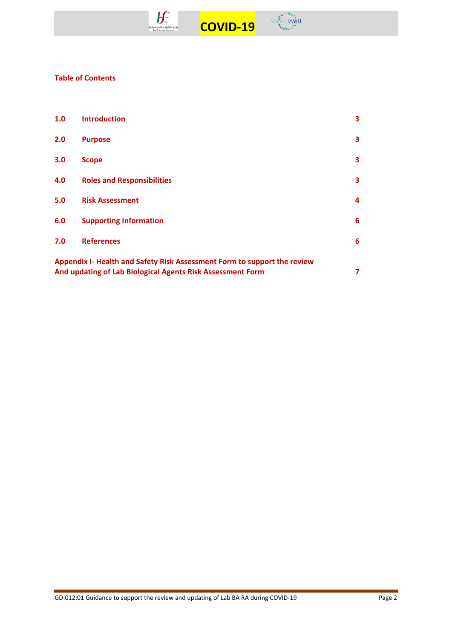



## **Table of Contents**

| 1.0                                                                                                                                         | <b>Introduction</b>               | 3 |  |  |
|---------------------------------------------------------------------------------------------------------------------------------------------|-----------------------------------|---|--|--|
| 2.0                                                                                                                                         | <b>Purpose</b>                    | 3 |  |  |
| 3.0                                                                                                                                         | <b>Scope</b>                      | 3 |  |  |
| 4.0                                                                                                                                         | <b>Roles and Responsibilities</b> | 3 |  |  |
| 5.0                                                                                                                                         | <b>Risk Assessment</b>            | 4 |  |  |
| 6.0                                                                                                                                         | <b>Supporting Information</b>     | 6 |  |  |
| 7.0                                                                                                                                         | <b>References</b>                 | 6 |  |  |
| Appendix I- Health and Safety Risk Assessment Form to support the review<br>And updating of Lab Biological Agents Risk Assessment Form<br>7 |                                   |   |  |  |
|                                                                                                                                             |                                   |   |  |  |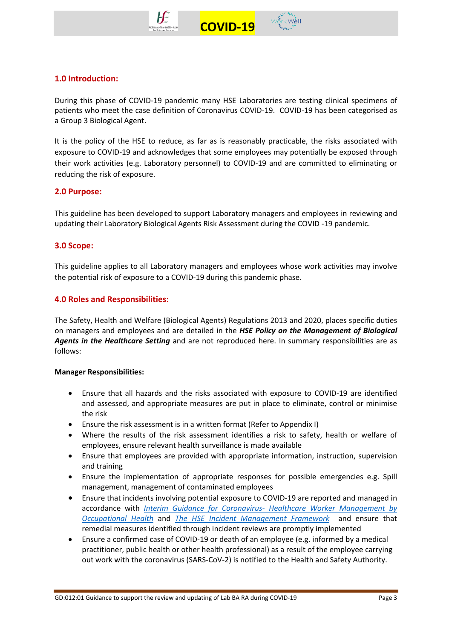



During this phase of COVID-19 pandemic many HSE Laboratories are testing clinical specimens of patients who meet the case definition of Coronavirus COVID-19. COVID-19 has been categorised as a Group 3 Biological Agent.

It is the policy of the HSE to reduce, as far as is reasonably practicable, the risks associated with exposure to COVID-19 and acknowledges that some employees may potentially be exposed through their work activities (e.g. Laboratory personnel) to COVID-19 and are committed to eliminating or reducing the risk of exposure.

## **2.0 Purpose:**

This guideline has been developed to support Laboratory managers and employees in reviewing and updating their Laboratory Biological Agents Risk Assessment during the COVID -19 pandemic.

## **3.0 Scope:**

This guideline applies to all Laboratory managers and employees whose work activities may involve the potential risk of exposure to a COVID-19 during this pandemic phase.

## **4.0 Roles and Responsibilities:**

The Safety, Health and Welfare (Biological Agents) Regulations 2013 and 2020, places specific duties on managers and employees and are detailed in the *HSE Policy on the Management of Biological Agents in the Healthcare Setting* and are not reproduced here. In summary responsibilities are as follows:

#### **Manager Responsibilities:**

- Ensure that all hazards and the risks associated with exposure to COVID-19 are identified and assessed, and appropriate measures are put in place to eliminate, control or minimise the risk
- Ensure the risk assessment is in a written format (Refer to Appendix I)
- Where the results of the risk assessment identifies a risk to safety, health or welfare of employees, ensure relevant health surveillance is made available
- Ensure that employees are provided with appropriate information, instruction, supervision and training
- Ensure the implementation of appropriate responses for possible emergencies e.g. Spill management, management of contaminated employees
- Ensure that incidents involving potential exposure to COVID-19 are reported and managed in accordance with *Interim Guidance for Coronavirus- [Healthcare Worker Management by](https://www.hse.ie/eng/staff/workplace-health-and-wellbeing-unit/covid-19-guidance/)  [Occupational Health](https://www.hse.ie/eng/staff/workplace-health-and-wellbeing-unit/covid-19-guidance/)* and *The [HSE Incident Management Framework](https://www.hse.ie/eng/about/qavd/incident-management/)* and ensure that remedial measures identified through incident reviews are promptly implemented
- Ensure a confirmed case of COVID-19 or death of an employee (e.g. informed by a medical practitioner, public health or other health professional) as a result of the employee carrying out work with the coronavirus (SARS-CoV-2) is notified to the Health and Safety Authority.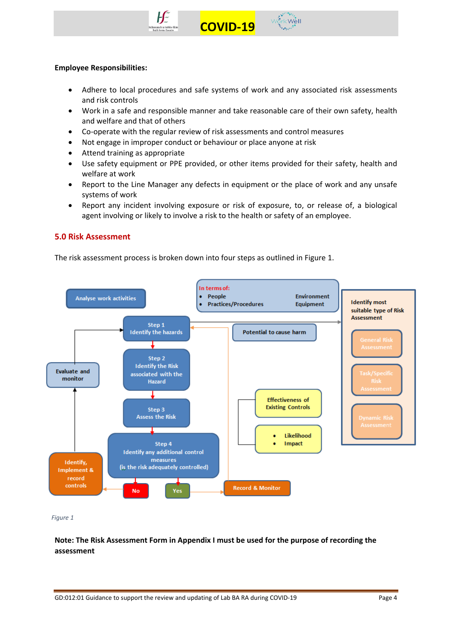



#### **Employee Responsibilities:**

- Adhere to local procedures and safe systems of work and any associated risk assessments and risk controls
- Work in a safe and responsible manner and take reasonable care of their own safety, health and welfare and that of others
- Co-operate with the regular review of risk assessments and control measures
- Not engage in improper conduct or behaviour or place anyone at risk
- Attend training as appropriate
- Use safety equipment or PPE provided, or other items provided for their safety, health and welfare at work
- Report to the Line Manager any defects in equipment or the place of work and any unsafe systems of work
- Report any incident involving exposure or risk of exposure, to, or release of, a biological agent involving or likely to involve a risk to the health or safety of an employee.

#### **5.0 Risk Assessment**

The risk assessment process is broken down into four steps as outlined in Figure 1.



*Figure 1*

**Note: The Risk Assessment Form in Appendix I must be used for the purpose of recording the assessment**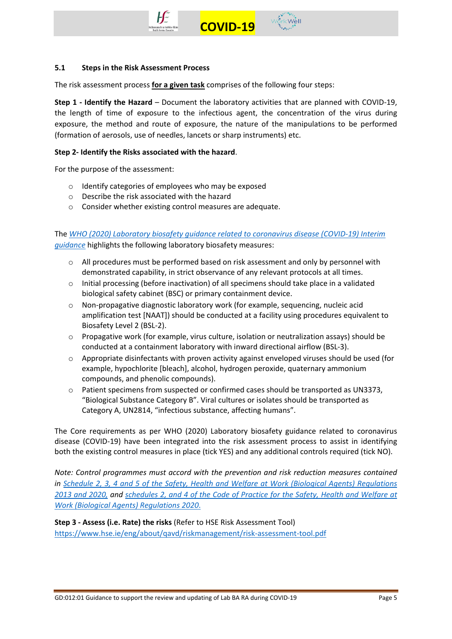



The risk assessment process **for a given task** comprises of the following four steps:

**Step 1 - Identify the Hazard** – Document the laboratory activities that are planned with COVID-19, the length of time of exposure to the infectious agent, the concentration of the virus during exposure, the method and route of exposure, the nature of the manipulations to be performed (formation of aerosols, use of needles, lancets or sharp instruments) etc.

#### **Step 2- Identify the Risks associated with the hazard**.

For the purpose of the assessment:

- o Identify categories of employees who may be exposed
- o Describe the risk associated with the hazard
- o Consider whether existing control measures are adequate.

The *[WHO \(2020\) Laboratory biosafety guidance related to coronavirus disease \(COVID-19\) Interim](https://www.who.int/publications-detail/laboratory-biosafety-guidance-related-to-coronavirus-disease-2019-(covid-19))  [guidance](https://www.who.int/publications-detail/laboratory-biosafety-guidance-related-to-coronavirus-disease-2019-(covid-19))* highlights the following laboratory biosafety measures:

- $\circ$  All procedures must be performed based on risk assessment and only by personnel with demonstrated capability, in strict observance of any relevant protocols at all times.
- $\circ$  Initial processing (before inactivation) of all specimens should take place in a validated biological safety cabinet (BSC) or primary containment device.
- o Non-propagative diagnostic laboratory work (for example, sequencing, nucleic acid amplification test [NAAT]) should be conducted at a facility using procedures equivalent to Biosafety Level 2 (BSL-2).
- o Propagative work (for example, virus culture, isolation or neutralization assays) should be conducted at a containment laboratory with inward directional airflow (BSL-3).
- $\circ$  Appropriate disinfectants with proven activity against enveloped viruses should be used (for example, hypochlorite [bleach], alcohol, hydrogen peroxide, quaternary ammonium compounds, and phenolic compounds).
- o Patient specimens from suspected or confirmed cases should be transported as UN3373, "Biological Substance Category B". Viral cultures or isolates should be transported as Category A, UN2814, "infectious substance, affecting humans".

The Core requirements as per WHO (2020) Laboratory biosafety guidance related to coronavirus disease (COVID-19) have been integrated into the risk assessment process to assist in identifying both the existing control measures in place (tick YES) and any additional controls required (tick NO).

*Note: Control programmes must accord with the prevention and risk reduction measures contained in [Schedule 2, 3, 4 and 5 of the Safety, Health and Welfare at Work \(Biological Agents\) Regulations](https://www.hsa.ie/eng/topics/biological_agents/legislation_and_code_of_practice/)  2013 [and 2020,](https://www.hsa.ie/eng/topics/biological_agents/legislation_and_code_of_practice/) and schedules [2, and 4 of the Code of Practice for the Safety, Health and Welfare at](https://www.hsa.ie/eng/topics/biological_agents/legislation_and_code_of_practice/)  [Work \(Biological Agents\) Regulations 2020](https://www.hsa.ie/eng/topics/biological_agents/legislation_and_code_of_practice/)*.

**Step 3 - Assess (i.e. Rate) the risks** (Refer to HSE Risk Assessment Tool) <https://www.hse.ie/eng/about/qavd/riskmanagement/risk-assessment-tool.pdf>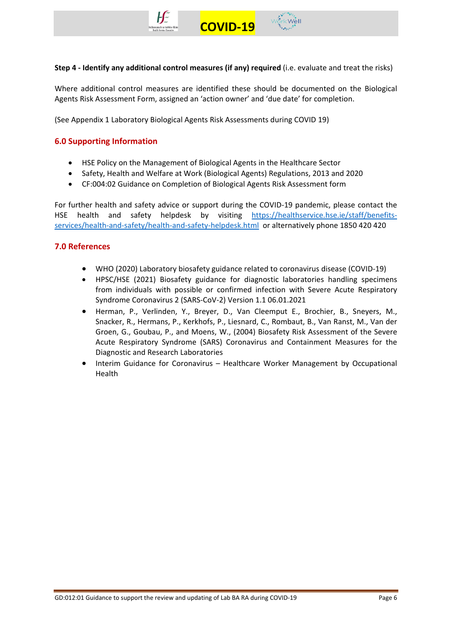



**Step 4 - Identify any additional control measures (if any) required** (i.e. evaluate and treat the risks)

Where additional control measures are identified these should be documented on the Biological Agents Risk Assessment Form, assigned an 'action owner' and 'due date' for completion.

(See Appendix 1 Laboratory Biological Agents Risk Assessments during COVID 19)

## **6.0 Supporting Information**

- HSE Policy on the Management of Biological Agents in the Healthcare Sector
- Safety, Health and Welfare at Work (Biological Agents) Regulations, 2013 and 2020
- CF:004:02 Guidance on Completion of Biological Agents Risk Assessment form

For further health and safety advice or support during the COVID-19 pandemic, please contact the HSE health and safety helpdesk by visiting [https://healthservice.hse.ie/staff/benefits](https://healthservice.hse.ie/staff/benefits-services/health-and-safety/health-and-safety-helpdesk.html)[services/health-and-safety/health-and-safety-helpdesk.html](https://healthservice.hse.ie/staff/benefits-services/health-and-safety/health-and-safety-helpdesk.html) or alternatively phone 1850 420 420

## **7.0 References**

- WHO (2020) Laboratory biosafety guidance related to coronavirus disease (COVID-19)
- HPSC/HSE (2021) Biosafety guidance for diagnostic laboratories handling specimens from individuals with possible or confirmed infection with Severe Acute Respiratory Syndrome Coronavirus 2 (SARS-CoV-2) Version 1.1 06.01.2021
- Herman, P., Verlinden, Y., Breyer, D., Van Cleemput E., Brochier, B., Sneyers, M., Snacker, R., Hermans, P., Kerkhofs, P., Liesnard, C., Rombaut, B., Van Ranst, M., Van der Groen, G., Goubau, P., and Moens, W., (2004) Biosafety Risk Assessment of the Severe Acute Respiratory Syndrome (SARS) Coronavirus and Containment Measures for the Diagnostic and Research Laboratories
- Interim Guidance for Coronavirus Healthcare Worker Management by Occupational Health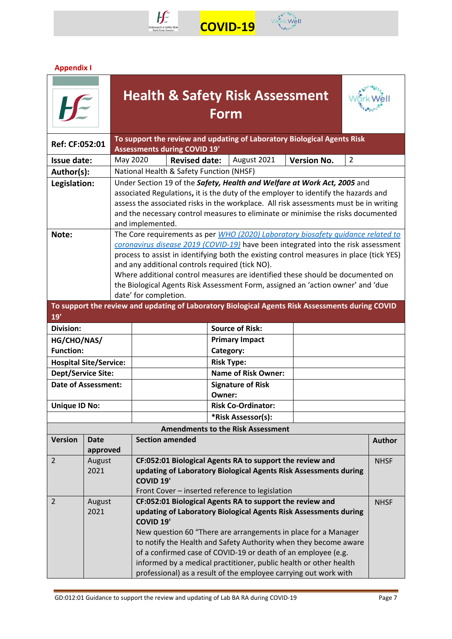



# **Appendix I**

| <b>Health &amp; Safety Risk Assessment</b><br>Form                                                                               |                                                                                          |          |                        |                      |                   |                                                          |                                                                                                                                       |                |               |
|----------------------------------------------------------------------------------------------------------------------------------|------------------------------------------------------------------------------------------|----------|------------------------|----------------------|-------------------|----------------------------------------------------------|---------------------------------------------------------------------------------------------------------------------------------------|----------------|---------------|
| To support the review and updating of Laboratory Biological Agents Risk<br>Ref: CF:052:01<br><b>Assessments during COVID 19'</b> |                                                                                          |          |                        |                      |                   |                                                          |                                                                                                                                       |                |               |
| <b>Issue date:</b>                                                                                                               |                                                                                          | May 2020 |                        | <b>Revised date:</b> |                   | August 2021                                              | <b>Version No.</b>                                                                                                                    | $\overline{2}$ |               |
| Author(s):                                                                                                                       | National Health & Safety Function (NHSF)                                                 |          |                        |                      |                   |                                                          |                                                                                                                                       |                |               |
|                                                                                                                                  | Under Section 19 of the Safety, Health and Welfare at Work Act, 2005 and<br>Legislation: |          |                        |                      |                   |                                                          |                                                                                                                                       |                |               |
|                                                                                                                                  |                                                                                          |          |                        |                      |                   |                                                          | associated Regulations, it is the duty of the employer to identify the hazards and                                                    |                |               |
|                                                                                                                                  |                                                                                          |          |                        |                      |                   |                                                          | assess the associated risks in the workplace. All risk assessments must be in writing                                                 |                |               |
|                                                                                                                                  |                                                                                          |          | and implemented.       |                      |                   |                                                          | and the necessary control measures to eliminate or minimise the risks documented                                                      |                |               |
| Note:                                                                                                                            |                                                                                          |          |                        |                      |                   |                                                          | The Core requirements as per WHO (2020) Laboratory biosafety quidance related to                                                      |                |               |
|                                                                                                                                  |                                                                                          |          |                        |                      |                   |                                                          | coronavirus disease 2019 (COVID-19) have been integrated into the risk assessment                                                     |                |               |
|                                                                                                                                  |                                                                                          |          |                        |                      |                   |                                                          | process to assist in identifying both the existing control measures in place (tick YES)                                               |                |               |
|                                                                                                                                  |                                                                                          |          |                        |                      |                   | and any additional controls required (tick NO).          |                                                                                                                                       |                |               |
|                                                                                                                                  |                                                                                          |          |                        |                      |                   |                                                          | Where additional control measures are identified these should be documented on                                                        |                |               |
|                                                                                                                                  |                                                                                          |          |                        |                      |                   |                                                          | the Biological Agents Risk Assessment Form, assigned an 'action owner' and 'due                                                       |                |               |
| date' for completion.<br>To support the review and updating of Laboratory Biological Agents Risk Assessments during COVID        |                                                                                          |          |                        |                      |                   |                                                          |                                                                                                                                       |                |               |
| 19'                                                                                                                              |                                                                                          |          |                        |                      |                   |                                                          |                                                                                                                                       |                |               |
| Division:                                                                                                                        |                                                                                          |          |                        |                      |                   | <b>Source of Risk:</b>                                   |                                                                                                                                       |                |               |
|                                                                                                                                  | HG/CHO/NAS/<br><b>Primary Impact</b>                                                     |          |                        |                      |                   |                                                          |                                                                                                                                       |                |               |
| <b>Function:</b>                                                                                                                 | Category:                                                                                |          |                        |                      |                   |                                                          |                                                                                                                                       |                |               |
| <b>Hospital Site/Service:</b>                                                                                                    |                                                                                          |          |                        |                      | <b>Risk Type:</b> |                                                          |                                                                                                                                       |                |               |
| <b>Dept/Service Site:</b>                                                                                                        |                                                                                          |          |                        |                      |                   | <b>Name of Risk Owner:</b>                               |                                                                                                                                       |                |               |
| <b>Date of Assessment:</b>                                                                                                       |                                                                                          |          |                        |                      |                   | <b>Signature of Risk</b>                                 |                                                                                                                                       |                |               |
|                                                                                                                                  |                                                                                          |          |                        |                      | Owner:            |                                                          |                                                                                                                                       |                |               |
| <b>Unique ID No:</b>                                                                                                             |                                                                                          |          |                        |                      |                   | <b>Risk Co-Ordinator:</b>                                |                                                                                                                                       |                |               |
|                                                                                                                                  |                                                                                          |          |                        |                      |                   | *Risk Assessor(s):                                       |                                                                                                                                       |                |               |
|                                                                                                                                  |                                                                                          |          |                        |                      |                   | <b>Amendments to the Risk Assessment</b>                 |                                                                                                                                       |                |               |
| <b>Version</b>                                                                                                                   | <b>Date</b>                                                                              |          | <b>Section amended</b> |                      |                   |                                                          |                                                                                                                                       |                | <b>Author</b> |
|                                                                                                                                  | approved                                                                                 |          |                        |                      |                   |                                                          |                                                                                                                                       |                |               |
| $\overline{2}$                                                                                                                   | August                                                                                   |          |                        |                      |                   | CF:052:01 Biological Agents RA to support the review and |                                                                                                                                       |                | <b>NHSF</b>   |
|                                                                                                                                  | 2021                                                                                     |          | <b>COVID 19'</b>       |                      |                   |                                                          | updating of Laboratory Biological Agents Risk Assessments during                                                                      |                |               |
|                                                                                                                                  |                                                                                          |          |                        |                      |                   | Front Cover - inserted reference to legislation          |                                                                                                                                       |                |               |
| $\overline{2}$                                                                                                                   | August                                                                                   |          |                        |                      |                   | CF:052:01 Biological Agents RA to support the review and |                                                                                                                                       |                | <b>NHSF</b>   |
|                                                                                                                                  | 2021                                                                                     |          |                        |                      |                   |                                                          | updating of Laboratory Biological Agents Risk Assessments during                                                                      |                |               |
|                                                                                                                                  |                                                                                          |          | <b>COVID 19'</b>       |                      |                   |                                                          |                                                                                                                                       |                |               |
|                                                                                                                                  |                                                                                          |          |                        |                      |                   |                                                          | New question 60 "There are arrangements in place for a Manager                                                                        |                |               |
|                                                                                                                                  |                                                                                          |          |                        |                      |                   |                                                          | to notify the Health and Safety Authority when they become aware                                                                      |                |               |
|                                                                                                                                  |                                                                                          |          |                        |                      |                   |                                                          | of a confirmed case of COVID-19 or death of an employee (e.g.                                                                         |                |               |
|                                                                                                                                  |                                                                                          |          |                        |                      |                   |                                                          | informed by a medical practitioner, public health or other health<br>professional) as a result of the employee carrying out work with |                |               |
|                                                                                                                                  |                                                                                          |          |                        |                      |                   |                                                          |                                                                                                                                       |                |               |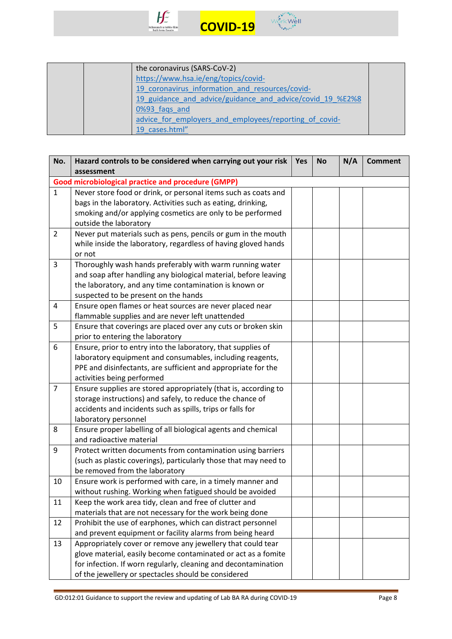



|  | the coronavirus (SARS-CoV-2)                              |  |
|--|-----------------------------------------------------------|--|
|  | https://www.hsa.ie/eng/topics/covid-                      |  |
|  | 19 coronavirus information and resources/covid-           |  |
|  | 19 guidance and advice/guidance and advice/covid 19 %E2%8 |  |
|  | 0%93 faqs and                                             |  |
|  | advice for employers and employees/reporting of covid-    |  |
|  | 19 cases.html"                                            |  |

| No.            | Hazard controls to be considered when carrying out your risk     | Yes | <b>No</b> | N/A | <b>Comment</b> |
|----------------|------------------------------------------------------------------|-----|-----------|-----|----------------|
|                | assessment                                                       |     |           |     |                |
|                | <b>Good microbiological practice and procedure (GMPP)</b>        |     |           |     |                |
| $\mathbf{1}$   | Never store food or drink, or personal items such as coats and   |     |           |     |                |
|                | bags in the laboratory. Activities such as eating, drinking,     |     |           |     |                |
|                | smoking and/or applying cosmetics are only to be performed       |     |           |     |                |
|                | outside the laboratory                                           |     |           |     |                |
| $\overline{2}$ | Never put materials such as pens, pencils or gum in the mouth    |     |           |     |                |
|                | while inside the laboratory, regardless of having gloved hands   |     |           |     |                |
|                | or not                                                           |     |           |     |                |
| 3              | Thoroughly wash hands preferably with warm running water         |     |           |     |                |
|                | and soap after handling any biological material, before leaving  |     |           |     |                |
|                | the laboratory, and any time contamination is known or           |     |           |     |                |
|                | suspected to be present on the hands                             |     |           |     |                |
| 4              | Ensure open flames or heat sources are never placed near         |     |           |     |                |
|                | flammable supplies and are never left unattended                 |     |           |     |                |
| 5              | Ensure that coverings are placed over any cuts or broken skin    |     |           |     |                |
|                | prior to entering the laboratory                                 |     |           |     |                |
| 6              | Ensure, prior to entry into the laboratory, that supplies of     |     |           |     |                |
|                | laboratory equipment and consumables, including reagents,        |     |           |     |                |
|                | PPE and disinfectants, are sufficient and appropriate for the    |     |           |     |                |
|                | activities being performed                                       |     |           |     |                |
| $\overline{7}$ | Ensure supplies are stored appropriately (that is, according to  |     |           |     |                |
|                | storage instructions) and safely, to reduce the chance of        |     |           |     |                |
|                | accidents and incidents such as spills, trips or falls for       |     |           |     |                |
|                | laboratory personnel                                             |     |           |     |                |
| 8              | Ensure proper labelling of all biological agents and chemical    |     |           |     |                |
|                | and radioactive material                                         |     |           |     |                |
| 9              | Protect written documents from contamination using barriers      |     |           |     |                |
|                | (such as plastic coverings), particularly those that may need to |     |           |     |                |
|                | be removed from the laboratory                                   |     |           |     |                |
| 10             | Ensure work is performed with care, in a timely manner and       |     |           |     |                |
|                | without rushing. Working when fatigued should be avoided         |     |           |     |                |
| 11             | Keep the work area tidy, clean and free of clutter and           |     |           |     |                |
|                | materials that are not necessary for the work being done         |     |           |     |                |
| 12             | Prohibit the use of earphones, which can distract personnel      |     |           |     |                |
|                | and prevent equipment or facility alarms from being heard        |     |           |     |                |
| 13             | Appropriately cover or remove any jewellery that could tear      |     |           |     |                |
|                | glove material, easily become contaminated or act as a fomite    |     |           |     |                |
|                | for infection. If worn regularly, cleaning and decontamination   |     |           |     |                |
|                | of the jewellery or spectacles should be considered              |     |           |     |                |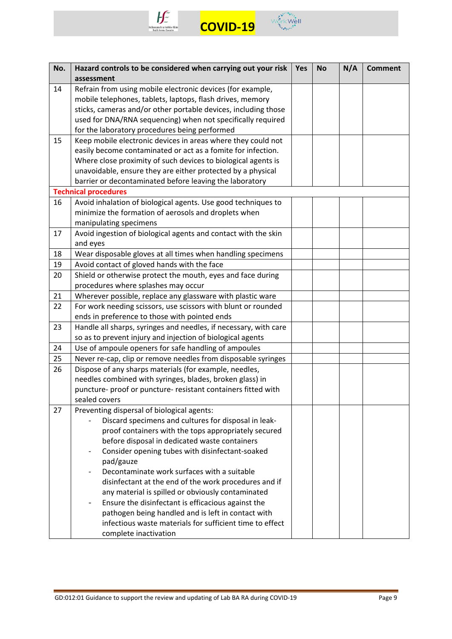



| No. | Hazard controls to be considered when carrying out your risk                                       | Yes | <b>No</b> | N/A | <b>Comment</b> |
|-----|----------------------------------------------------------------------------------------------------|-----|-----------|-----|----------------|
|     | assessment                                                                                         |     |           |     |                |
| 14  | Refrain from using mobile electronic devices (for example,                                         |     |           |     |                |
|     | mobile telephones, tablets, laptops, flash drives, memory                                          |     |           |     |                |
|     | sticks, cameras and/or other portable devices, including those                                     |     |           |     |                |
|     | used for DNA/RNA sequencing) when not specifically required                                        |     |           |     |                |
|     | for the laboratory procedures being performed                                                      |     |           |     |                |
| 15  | Keep mobile electronic devices in areas where they could not                                       |     |           |     |                |
|     | easily become contaminated or act as a fomite for infection.                                       |     |           |     |                |
|     | Where close proximity of such devices to biological agents is                                      |     |           |     |                |
|     | unavoidable, ensure they are either protected by a physical                                        |     |           |     |                |
|     | barrier or decontaminated before leaving the laboratory                                            |     |           |     |                |
|     | <b>Technical procedures</b>                                                                        |     |           |     |                |
| 16  | Avoid inhalation of biological agents. Use good techniques to                                      |     |           |     |                |
|     | minimize the formation of aerosols and droplets when                                               |     |           |     |                |
|     | manipulating specimens                                                                             |     |           |     |                |
| 17  | Avoid ingestion of biological agents and contact with the skin                                     |     |           |     |                |
|     | and eyes                                                                                           |     |           |     |                |
| 18  | Wear disposable gloves at all times when handling specimens                                        |     |           |     |                |
| 19  | Avoid contact of gloved hands with the face                                                        |     |           |     |                |
| 20  | Shield or otherwise protect the mouth, eyes and face during                                        |     |           |     |                |
|     | procedures where splashes may occur                                                                |     |           |     |                |
| 21  | Wherever possible, replace any glassware with plastic ware                                         |     |           |     |                |
| 22  | For work needing scissors, use scissors with blunt or rounded                                      |     |           |     |                |
|     | ends in preference to those with pointed ends                                                      |     |           |     |                |
| 23  | Handle all sharps, syringes and needles, if necessary, with care                                   |     |           |     |                |
|     | so as to prevent injury and injection of biological agents                                         |     |           |     |                |
| 24  | Use of ampoule openers for safe handling of ampoules                                               |     |           |     |                |
| 25  | Never re-cap, clip or remove needles from disposable syringes                                      |     |           |     |                |
| 26  | Dispose of any sharps materials (for example, needles,                                             |     |           |     |                |
|     | needles combined with syringes, blades, broken glass) in                                           |     |           |     |                |
|     | puncture- proof or puncture- resistant containers fitted with                                      |     |           |     |                |
|     | sealed covers                                                                                      |     |           |     |                |
| 27  | Preventing dispersal of biological agents:<br>Discard specimens and cultures for disposal in leak- |     |           |     |                |
|     | proof containers with the tops appropriately secured                                               |     |           |     |                |
|     | before disposal in dedicated waste containers                                                      |     |           |     |                |
|     | Consider opening tubes with disinfectant-soaked                                                    |     |           |     |                |
|     | pad/gauze                                                                                          |     |           |     |                |
|     | Decontaminate work surfaces with a suitable                                                        |     |           |     |                |
|     | disinfectant at the end of the work procedures and if                                              |     |           |     |                |
|     | any material is spilled or obviously contaminated                                                  |     |           |     |                |
|     | Ensure the disinfectant is efficacious against the                                                 |     |           |     |                |
|     | pathogen being handled and is left in contact with                                                 |     |           |     |                |
|     | infectious waste materials for sufficient time to effect                                           |     |           |     |                |
|     | complete inactivation                                                                              |     |           |     |                |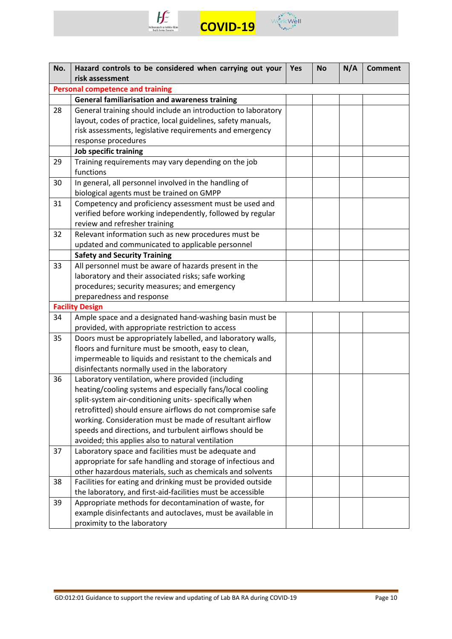



| No.                              | Hazard controls to be considered when carrying out your<br>risk assessment                                                                                                                                                                                                                                                                                                                                                                                                                                                                                                                                                                                                                                                                                                                                                                                                                                                                                                                                                                                                                                                                                                                                                                                                                                                                                                                                                                                                                                  | <b>Yes</b> | <b>No</b> | N/A | <b>Comment</b> |
|----------------------------------|-------------------------------------------------------------------------------------------------------------------------------------------------------------------------------------------------------------------------------------------------------------------------------------------------------------------------------------------------------------------------------------------------------------------------------------------------------------------------------------------------------------------------------------------------------------------------------------------------------------------------------------------------------------------------------------------------------------------------------------------------------------------------------------------------------------------------------------------------------------------------------------------------------------------------------------------------------------------------------------------------------------------------------------------------------------------------------------------------------------------------------------------------------------------------------------------------------------------------------------------------------------------------------------------------------------------------------------------------------------------------------------------------------------------------------------------------------------------------------------------------------------|------------|-----------|-----|----------------|
|                                  | <b>Personal competence and training</b>                                                                                                                                                                                                                                                                                                                                                                                                                                                                                                                                                                                                                                                                                                                                                                                                                                                                                                                                                                                                                                                                                                                                                                                                                                                                                                                                                                                                                                                                     |            |           |     |                |
|                                  | <b>General familiarisation and awareness training</b>                                                                                                                                                                                                                                                                                                                                                                                                                                                                                                                                                                                                                                                                                                                                                                                                                                                                                                                                                                                                                                                                                                                                                                                                                                                                                                                                                                                                                                                       |            |           |     |                |
| 28                               | General training should include an introduction to laboratory                                                                                                                                                                                                                                                                                                                                                                                                                                                                                                                                                                                                                                                                                                                                                                                                                                                                                                                                                                                                                                                                                                                                                                                                                                                                                                                                                                                                                                               |            |           |     |                |
|                                  | layout, codes of practice, local guidelines, safety manuals,                                                                                                                                                                                                                                                                                                                                                                                                                                                                                                                                                                                                                                                                                                                                                                                                                                                                                                                                                                                                                                                                                                                                                                                                                                                                                                                                                                                                                                                |            |           |     |                |
|                                  | risk assessments, legislative requirements and emergency                                                                                                                                                                                                                                                                                                                                                                                                                                                                                                                                                                                                                                                                                                                                                                                                                                                                                                                                                                                                                                                                                                                                                                                                                                                                                                                                                                                                                                                    |            |           |     |                |
|                                  | response procedures                                                                                                                                                                                                                                                                                                                                                                                                                                                                                                                                                                                                                                                                                                                                                                                                                                                                                                                                                                                                                                                                                                                                                                                                                                                                                                                                                                                                                                                                                         |            |           |     |                |
|                                  | Job specific training                                                                                                                                                                                                                                                                                                                                                                                                                                                                                                                                                                                                                                                                                                                                                                                                                                                                                                                                                                                                                                                                                                                                                                                                                                                                                                                                                                                                                                                                                       |            |           |     |                |
| 29                               | Training requirements may vary depending on the job                                                                                                                                                                                                                                                                                                                                                                                                                                                                                                                                                                                                                                                                                                                                                                                                                                                                                                                                                                                                                                                                                                                                                                                                                                                                                                                                                                                                                                                         |            |           |     |                |
|                                  | functions                                                                                                                                                                                                                                                                                                                                                                                                                                                                                                                                                                                                                                                                                                                                                                                                                                                                                                                                                                                                                                                                                                                                                                                                                                                                                                                                                                                                                                                                                                   |            |           |     |                |
| 30                               | In general, all personnel involved in the handling of                                                                                                                                                                                                                                                                                                                                                                                                                                                                                                                                                                                                                                                                                                                                                                                                                                                                                                                                                                                                                                                                                                                                                                                                                                                                                                                                                                                                                                                       |            |           |     |                |
|                                  | biological agents must be trained on GMPP                                                                                                                                                                                                                                                                                                                                                                                                                                                                                                                                                                                                                                                                                                                                                                                                                                                                                                                                                                                                                                                                                                                                                                                                                                                                                                                                                                                                                                                                   |            |           |     |                |
| 31                               | Competency and proficiency assessment must be used and                                                                                                                                                                                                                                                                                                                                                                                                                                                                                                                                                                                                                                                                                                                                                                                                                                                                                                                                                                                                                                                                                                                                                                                                                                                                                                                                                                                                                                                      |            |           |     |                |
|                                  | verified before working independently, followed by regular                                                                                                                                                                                                                                                                                                                                                                                                                                                                                                                                                                                                                                                                                                                                                                                                                                                                                                                                                                                                                                                                                                                                                                                                                                                                                                                                                                                                                                                  |            |           |     |                |
|                                  | review and refresher training                                                                                                                                                                                                                                                                                                                                                                                                                                                                                                                                                                                                                                                                                                                                                                                                                                                                                                                                                                                                                                                                                                                                                                                                                                                                                                                                                                                                                                                                               |            |           |     |                |
| 32                               | Relevant information such as new procedures must be                                                                                                                                                                                                                                                                                                                                                                                                                                                                                                                                                                                                                                                                                                                                                                                                                                                                                                                                                                                                                                                                                                                                                                                                                                                                                                                                                                                                                                                         |            |           |     |                |
|                                  | updated and communicated to applicable personnel                                                                                                                                                                                                                                                                                                                                                                                                                                                                                                                                                                                                                                                                                                                                                                                                                                                                                                                                                                                                                                                                                                                                                                                                                                                                                                                                                                                                                                                            |            |           |     |                |
|                                  |                                                                                                                                                                                                                                                                                                                                                                                                                                                                                                                                                                                                                                                                                                                                                                                                                                                                                                                                                                                                                                                                                                                                                                                                                                                                                                                                                                                                                                                                                                             |            |           |     |                |
| 33                               |                                                                                                                                                                                                                                                                                                                                                                                                                                                                                                                                                                                                                                                                                                                                                                                                                                                                                                                                                                                                                                                                                                                                                                                                                                                                                                                                                                                                                                                                                                             |            |           |     |                |
|                                  |                                                                                                                                                                                                                                                                                                                                                                                                                                                                                                                                                                                                                                                                                                                                                                                                                                                                                                                                                                                                                                                                                                                                                                                                                                                                                                                                                                                                                                                                                                             |            |           |     |                |
|                                  |                                                                                                                                                                                                                                                                                                                                                                                                                                                                                                                                                                                                                                                                                                                                                                                                                                                                                                                                                                                                                                                                                                                                                                                                                                                                                                                                                                                                                                                                                                             |            |           |     |                |
|                                  |                                                                                                                                                                                                                                                                                                                                                                                                                                                                                                                                                                                                                                                                                                                                                                                                                                                                                                                                                                                                                                                                                                                                                                                                                                                                                                                                                                                                                                                                                                             |            |           |     |                |
|                                  |                                                                                                                                                                                                                                                                                                                                                                                                                                                                                                                                                                                                                                                                                                                                                                                                                                                                                                                                                                                                                                                                                                                                                                                                                                                                                                                                                                                                                                                                                                             |            |           |     |                |
|                                  |                                                                                                                                                                                                                                                                                                                                                                                                                                                                                                                                                                                                                                                                                                                                                                                                                                                                                                                                                                                                                                                                                                                                                                                                                                                                                                                                                                                                                                                                                                             |            |           |     |                |
|                                  |                                                                                                                                                                                                                                                                                                                                                                                                                                                                                                                                                                                                                                                                                                                                                                                                                                                                                                                                                                                                                                                                                                                                                                                                                                                                                                                                                                                                                                                                                                             |            |           |     |                |
|                                  |                                                                                                                                                                                                                                                                                                                                                                                                                                                                                                                                                                                                                                                                                                                                                                                                                                                                                                                                                                                                                                                                                                                                                                                                                                                                                                                                                                                                                                                                                                             |            |           |     |                |
|                                  |                                                                                                                                                                                                                                                                                                                                                                                                                                                                                                                                                                                                                                                                                                                                                                                                                                                                                                                                                                                                                                                                                                                                                                                                                                                                                                                                                                                                                                                                                                             |            |           |     |                |
|                                  |                                                                                                                                                                                                                                                                                                                                                                                                                                                                                                                                                                                                                                                                                                                                                                                                                                                                                                                                                                                                                                                                                                                                                                                                                                                                                                                                                                                                                                                                                                             |            |           |     |                |
|                                  |                                                                                                                                                                                                                                                                                                                                                                                                                                                                                                                                                                                                                                                                                                                                                                                                                                                                                                                                                                                                                                                                                                                                                                                                                                                                                                                                                                                                                                                                                                             |            |           |     |                |
|                                  |                                                                                                                                                                                                                                                                                                                                                                                                                                                                                                                                                                                                                                                                                                                                                                                                                                                                                                                                                                                                                                                                                                                                                                                                                                                                                                                                                                                                                                                                                                             |            |           |     |                |
|                                  |                                                                                                                                                                                                                                                                                                                                                                                                                                                                                                                                                                                                                                                                                                                                                                                                                                                                                                                                                                                                                                                                                                                                                                                                                                                                                                                                                                                                                                                                                                             |            |           |     |                |
|                                  |                                                                                                                                                                                                                                                                                                                                                                                                                                                                                                                                                                                                                                                                                                                                                                                                                                                                                                                                                                                                                                                                                                                                                                                                                                                                                                                                                                                                                                                                                                             |            |           |     |                |
|                                  |                                                                                                                                                                                                                                                                                                                                                                                                                                                                                                                                                                                                                                                                                                                                                                                                                                                                                                                                                                                                                                                                                                                                                                                                                                                                                                                                                                                                                                                                                                             |            |           |     |                |
|                                  |                                                                                                                                                                                                                                                                                                                                                                                                                                                                                                                                                                                                                                                                                                                                                                                                                                                                                                                                                                                                                                                                                                                                                                                                                                                                                                                                                                                                                                                                                                             |            |           |     |                |
|                                  |                                                                                                                                                                                                                                                                                                                                                                                                                                                                                                                                                                                                                                                                                                                                                                                                                                                                                                                                                                                                                                                                                                                                                                                                                                                                                                                                                                                                                                                                                                             |            |           |     |                |
|                                  |                                                                                                                                                                                                                                                                                                                                                                                                                                                                                                                                                                                                                                                                                                                                                                                                                                                                                                                                                                                                                                                                                                                                                                                                                                                                                                                                                                                                                                                                                                             |            |           |     |                |
|                                  |                                                                                                                                                                                                                                                                                                                                                                                                                                                                                                                                                                                                                                                                                                                                                                                                                                                                                                                                                                                                                                                                                                                                                                                                                                                                                                                                                                                                                                                                                                             |            |           |     |                |
|                                  |                                                                                                                                                                                                                                                                                                                                                                                                                                                                                                                                                                                                                                                                                                                                                                                                                                                                                                                                                                                                                                                                                                                                                                                                                                                                                                                                                                                                                                                                                                             |            |           |     |                |
|                                  |                                                                                                                                                                                                                                                                                                                                                                                                                                                                                                                                                                                                                                                                                                                                                                                                                                                                                                                                                                                                                                                                                                                                                                                                                                                                                                                                                                                                                                                                                                             |            |           |     |                |
|                                  |                                                                                                                                                                                                                                                                                                                                                                                                                                                                                                                                                                                                                                                                                                                                                                                                                                                                                                                                                                                                                                                                                                                                                                                                                                                                                                                                                                                                                                                                                                             |            |           |     |                |
|                                  |                                                                                                                                                                                                                                                                                                                                                                                                                                                                                                                                                                                                                                                                                                                                                                                                                                                                                                                                                                                                                                                                                                                                                                                                                                                                                                                                                                                                                                                                                                             |            |           |     |                |
|                                  |                                                                                                                                                                                                                                                                                                                                                                                                                                                                                                                                                                                                                                                                                                                                                                                                                                                                                                                                                                                                                                                                                                                                                                                                                                                                                                                                                                                                                                                                                                             |            |           |     |                |
|                                  |                                                                                                                                                                                                                                                                                                                                                                                                                                                                                                                                                                                                                                                                                                                                                                                                                                                                                                                                                                                                                                                                                                                                                                                                                                                                                                                                                                                                                                                                                                             |            |           |     |                |
| 34<br>35<br>36<br>37<br>38<br>39 | <b>Safety and Security Training</b><br>All personnel must be aware of hazards present in the<br>laboratory and their associated risks; safe working<br>procedures; security measures; and emergency<br>preparedness and response<br><b>Facility Design</b><br>Ample space and a designated hand-washing basin must be<br>provided, with appropriate restriction to access<br>Doors must be appropriately labelled, and laboratory walls,<br>floors and furniture must be smooth, easy to clean,<br>impermeable to liquids and resistant to the chemicals and<br>disinfectants normally used in the laboratory<br>Laboratory ventilation, where provided (including<br>heating/cooling systems and especially fans/local cooling<br>split-system air-conditioning units- specifically when<br>retrofitted) should ensure airflows do not compromise safe<br>working. Consideration must be made of resultant airflow<br>speeds and directions, and turbulent airflows should be<br>avoided; this applies also to natural ventilation<br>Laboratory space and facilities must be adequate and<br>appropriate for safe handling and storage of infectious and<br>other hazardous materials, such as chemicals and solvents<br>Facilities for eating and drinking must be provided outside<br>the laboratory, and first-aid-facilities must be accessible<br>Appropriate methods for decontamination of waste, for<br>example disinfectants and autoclaves, must be available in<br>proximity to the laboratory |            |           |     |                |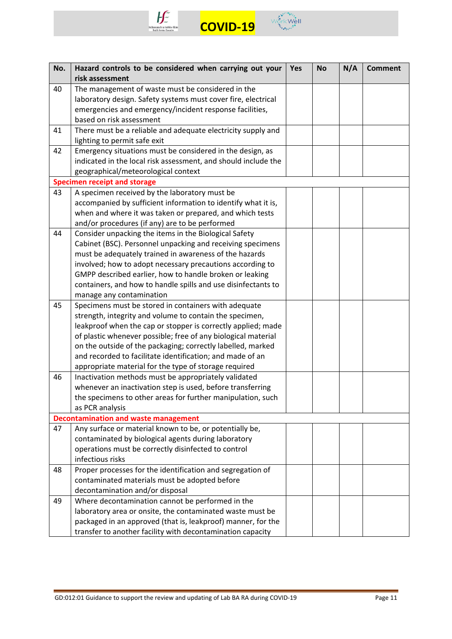



| No. | Hazard controls to be considered when carrying out your        | Yes | <b>No</b> | N/A | <b>Comment</b> |
|-----|----------------------------------------------------------------|-----|-----------|-----|----------------|
|     | risk assessment                                                |     |           |     |                |
| 40  | The management of waste must be considered in the              |     |           |     |                |
|     | laboratory design. Safety systems must cover fire, electrical  |     |           |     |                |
|     | emergencies and emergency/incident response facilities,        |     |           |     |                |
|     | based on risk assessment                                       |     |           |     |                |
| 41  | There must be a reliable and adequate electricity supply and   |     |           |     |                |
|     | lighting to permit safe exit                                   |     |           |     |                |
| 42  | Emergency situations must be considered in the design, as      |     |           |     |                |
|     | indicated in the local risk assessment, and should include the |     |           |     |                |
|     | geographical/meteorological context                            |     |           |     |                |
|     | <b>Specimen receipt and storage</b>                            |     |           |     |                |
| 43  | A specimen received by the laboratory must be                  |     |           |     |                |
|     | accompanied by sufficient information to identify what it is,  |     |           |     |                |
|     | when and where it was taken or prepared, and which tests       |     |           |     |                |
|     | and/or procedures (if any) are to be performed                 |     |           |     |                |
| 44  | Consider unpacking the items in the Biological Safety          |     |           |     |                |
|     | Cabinet (BSC). Personnel unpacking and receiving specimens     |     |           |     |                |
|     | must be adequately trained in awareness of the hazards         |     |           |     |                |
|     | involved; how to adopt necessary precautions according to      |     |           |     |                |
|     | GMPP described earlier, how to handle broken or leaking        |     |           |     |                |
|     | containers, and how to handle spills and use disinfectants to  |     |           |     |                |
|     | manage any contamination                                       |     |           |     |                |
| 45  | Specimens must be stored in containers with adequate           |     |           |     |                |
|     | strength, integrity and volume to contain the specimen,        |     |           |     |                |
|     | leakproof when the cap or stopper is correctly applied; made   |     |           |     |                |
|     | of plastic whenever possible; free of any biological material  |     |           |     |                |
|     | on the outside of the packaging; correctly labelled, marked    |     |           |     |                |
|     | and recorded to facilitate identification; and made of an      |     |           |     |                |
|     | appropriate material for the type of storage required          |     |           |     |                |
| 46  | Inactivation methods must be appropriately validated           |     |           |     |                |
|     | whenever an inactivation step is used, before transferring     |     |           |     |                |
|     | the specimens to other areas for further manipulation, such    |     |           |     |                |
|     | as PCR analysis                                                |     |           |     |                |
|     | <b>Decontamination and waste management</b>                    |     |           |     |                |
| 47  | Any surface or material known to be, or potentially be,        |     |           |     |                |
|     | contaminated by biological agents during laboratory            |     |           |     |                |
|     | operations must be correctly disinfected to control            |     |           |     |                |
|     | infectious risks                                               |     |           |     |                |
| 48  | Proper processes for the identification and segregation of     |     |           |     |                |
|     | contaminated materials must be adopted before                  |     |           |     |                |
|     | decontamination and/or disposal                                |     |           |     |                |
| 49  | Where decontamination cannot be performed in the               |     |           |     |                |
|     | laboratory area or onsite, the contaminated waste must be      |     |           |     |                |
|     | packaged in an approved (that is, leakproof) manner, for the   |     |           |     |                |
|     | transfer to another facility with decontamination capacity     |     |           |     |                |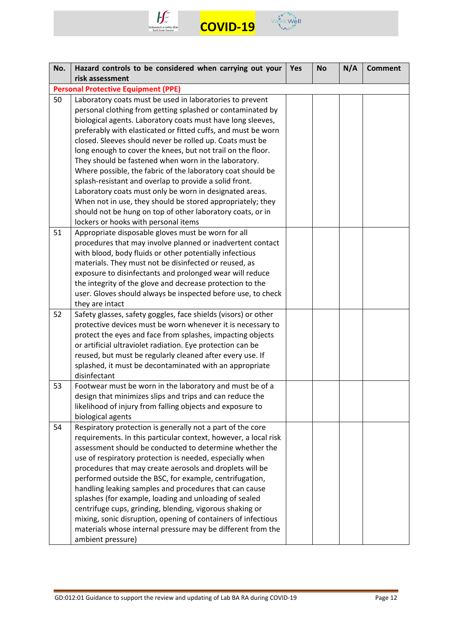



| No. | Hazard controls to be considered when carrying out your                                            | Yes | <b>No</b> | N/A | <b>Comment</b> |
|-----|----------------------------------------------------------------------------------------------------|-----|-----------|-----|----------------|
|     | risk assessment                                                                                    |     |           |     |                |
|     | <b>Personal Protective Equipment (PPE)</b>                                                         |     |           |     |                |
| 50  | Laboratory coats must be used in laboratories to prevent                                           |     |           |     |                |
|     | personal clothing from getting splashed or contaminated by                                         |     |           |     |                |
|     | biological agents. Laboratory coats must have long sleeves,                                        |     |           |     |                |
|     | preferably with elasticated or fitted cuffs, and must be worn                                      |     |           |     |                |
|     | closed. Sleeves should never be rolled up. Coats must be                                           |     |           |     |                |
|     | long enough to cover the knees, but not trail on the floor.                                        |     |           |     |                |
|     | They should be fastened when worn in the laboratory.                                               |     |           |     |                |
|     | Where possible, the fabric of the laboratory coat should be                                        |     |           |     |                |
|     | splash-resistant and overlap to provide a solid front.                                             |     |           |     |                |
|     | Laboratory coats must only be worn in designated areas.                                            |     |           |     |                |
|     | When not in use, they should be stored appropriately; they                                         |     |           |     |                |
|     | should not be hung on top of other laboratory coats, or in<br>lockers or hooks with personal items |     |           |     |                |
| 51  | Appropriate disposable gloves must be worn for all                                                 |     |           |     |                |
|     | procedures that may involve planned or inadvertent contact                                         |     |           |     |                |
|     | with blood, body fluids or other potentially infectious                                            |     |           |     |                |
|     | materials. They must not be disinfected or reused, as                                              |     |           |     |                |
|     | exposure to disinfectants and prolonged wear will reduce                                           |     |           |     |                |
|     | the integrity of the glove and decrease protection to the                                          |     |           |     |                |
|     | user. Gloves should always be inspected before use, to check                                       |     |           |     |                |
|     | they are intact                                                                                    |     |           |     |                |
| 52  | Safety glasses, safety goggles, face shields (visors) or other                                     |     |           |     |                |
|     | protective devices must be worn whenever it is necessary to                                        |     |           |     |                |
|     | protect the eyes and face from splashes, impacting objects                                         |     |           |     |                |
|     | or artificial ultraviolet radiation. Eye protection can be                                         |     |           |     |                |
|     | reused, but must be regularly cleaned after every use. If                                          |     |           |     |                |
|     | splashed, it must be decontaminated with an appropriate                                            |     |           |     |                |
|     | disinfectant                                                                                       |     |           |     |                |
| 53  | Footwear must be worn in the laboratory and must be of a                                           |     |           |     |                |
|     | design that minimizes slips and trips and can reduce the                                           |     |           |     |                |
|     | likelihood of injury from falling objects and exposure to                                          |     |           |     |                |
|     | biological agents                                                                                  |     |           |     |                |
| 54  | Respiratory protection is generally not a part of the core                                         |     |           |     |                |
|     | requirements. In this particular context, however, a local risk                                    |     |           |     |                |
|     | assessment should be conducted to determine whether the                                            |     |           |     |                |
|     | use of respiratory protection is needed, especially when                                           |     |           |     |                |
|     | procedures that may create aerosols and droplets will be                                           |     |           |     |                |
|     | performed outside the BSC, for example, centrifugation,                                            |     |           |     |                |
|     | handling leaking samples and procedures that can cause                                             |     |           |     |                |
|     | splashes (for example, loading and unloading of sealed                                             |     |           |     |                |
|     | centrifuge cups, grinding, blending, vigorous shaking or                                           |     |           |     |                |
|     | mixing, sonic disruption, opening of containers of infectious                                      |     |           |     |                |
|     | materials whose internal pressure may be different from the                                        |     |           |     |                |
|     | ambient pressure)                                                                                  |     |           |     |                |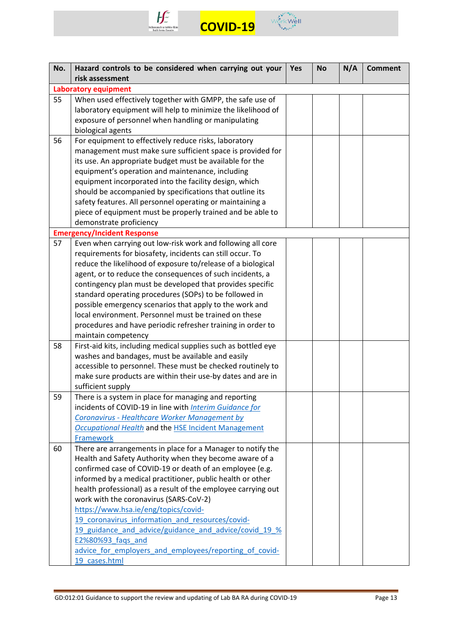



| No. | Hazard controls to be considered when carrying out your        | <b>Yes</b> | <b>No</b> | N/A | <b>Comment</b> |
|-----|----------------------------------------------------------------|------------|-----------|-----|----------------|
|     | risk assessment                                                |            |           |     |                |
|     | <b>Laboratory equipment</b>                                    |            |           |     |                |
| 55  | When used effectively together with GMPP, the safe use of      |            |           |     |                |
|     | laboratory equipment will help to minimize the likelihood of   |            |           |     |                |
|     | exposure of personnel when handling or manipulating            |            |           |     |                |
|     | biological agents                                              |            |           |     |                |
| 56  | For equipment to effectively reduce risks, laboratory          |            |           |     |                |
|     | management must make sure sufficient space is provided for     |            |           |     |                |
|     | its use. An appropriate budget must be available for the       |            |           |     |                |
|     | equipment's operation and maintenance, including               |            |           |     |                |
|     | equipment incorporated into the facility design, which         |            |           |     |                |
|     | should be accompanied by specifications that outline its       |            |           |     |                |
|     | safety features. All personnel operating or maintaining a      |            |           |     |                |
|     | piece of equipment must be properly trained and be able to     |            |           |     |                |
|     | demonstrate proficiency                                        |            |           |     |                |
|     | <b>Emergency/Incident Response</b>                             |            |           |     |                |
| 57  | Even when carrying out low-risk work and following all core    |            |           |     |                |
|     | requirements for biosafety, incidents can still occur. To      |            |           |     |                |
|     | reduce the likelihood of exposure to/release of a biological   |            |           |     |                |
|     | agent, or to reduce the consequences of such incidents, a      |            |           |     |                |
|     | contingency plan must be developed that provides specific      |            |           |     |                |
|     | standard operating procedures (SOPs) to be followed in         |            |           |     |                |
|     | possible emergency scenarios that apply to the work and        |            |           |     |                |
|     | local environment. Personnel must be trained on these          |            |           |     |                |
|     | procedures and have periodic refresher training in order to    |            |           |     |                |
|     | maintain competency                                            |            |           |     |                |
| 58  | First-aid kits, including medical supplies such as bottled eye |            |           |     |                |
|     | washes and bandages, must be available and easily              |            |           |     |                |
|     | accessible to personnel. These must be checked routinely to    |            |           |     |                |
|     | make sure products are within their use-by dates and are in    |            |           |     |                |
|     | sufficient supply                                              |            |           |     |                |
| 59  | There is a system in place for managing and reporting          |            |           |     |                |
|     | incidents of COVID-19 in line with Interim Guidance for        |            |           |     |                |
|     | Coronavirus - Healthcare Worker Management by                  |            |           |     |                |
|     | <b>Occupational Health and the HSE Incident Management</b>     |            |           |     |                |
|     | Framework                                                      |            |           |     |                |
| 60  | There are arrangements in place for a Manager to notify the    |            |           |     |                |
|     | Health and Safety Authority when they become aware of a        |            |           |     |                |
|     | confirmed case of COVID-19 or death of an employee (e.g.       |            |           |     |                |
|     | informed by a medical practitioner, public health or other     |            |           |     |                |
|     | health professional) as a result of the employee carrying out  |            |           |     |                |
|     | work with the coronavirus (SARS-CoV-2)                         |            |           |     |                |
|     | https://www.hsa.ie/eng/topics/covid-                           |            |           |     |                |
|     | 19 coronavirus information and resources/covid-                |            |           |     |                |
|     | 19 guidance and advice/guidance and advice/covid 19 %          |            |           |     |                |
|     | E2%80%93_faqs_and                                              |            |           |     |                |
|     | advice for employers and employees/reporting of covid-         |            |           |     |                |
|     | 19 cases.html                                                  |            |           |     |                |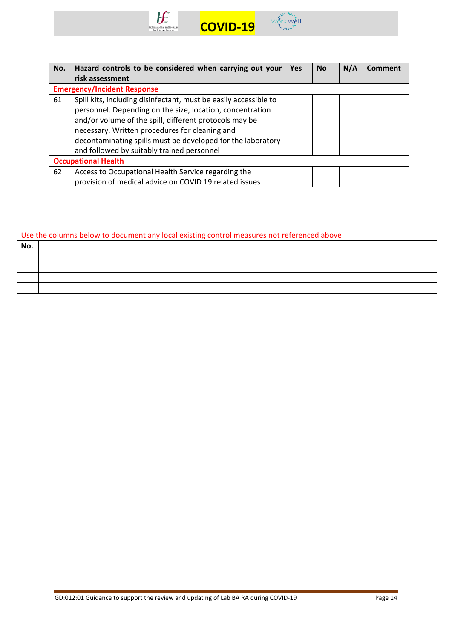



| No. | Hazard controls to be considered when carrying out your          | <b>Yes</b> | <b>No</b> | N/A | Comment |
|-----|------------------------------------------------------------------|------------|-----------|-----|---------|
|     | risk assessment                                                  |            |           |     |         |
|     | <b>Emergency/Incident Response</b>                               |            |           |     |         |
| 61  | Spill kits, including disinfectant, must be easily accessible to |            |           |     |         |
|     | personnel. Depending on the size, location, concentration        |            |           |     |         |
|     | and/or volume of the spill, different protocols may be           |            |           |     |         |
|     | necessary. Written procedures for cleaning and                   |            |           |     |         |
|     | decontaminating spills must be developed for the laboratory      |            |           |     |         |
|     | and followed by suitably trained personnel                       |            |           |     |         |
|     | <b>Occupational Health</b>                                       |            |           |     |         |
| 62  | Access to Occupational Health Service regarding the              |            |           |     |         |
|     | provision of medical advice on COVID 19 related issues           |            |           |     |         |

| Use the columns below to document any local existing control measures not referenced above |  |  |  |  |  |
|--------------------------------------------------------------------------------------------|--|--|--|--|--|
| No.                                                                                        |  |  |  |  |  |
|                                                                                            |  |  |  |  |  |
|                                                                                            |  |  |  |  |  |
|                                                                                            |  |  |  |  |  |
|                                                                                            |  |  |  |  |  |